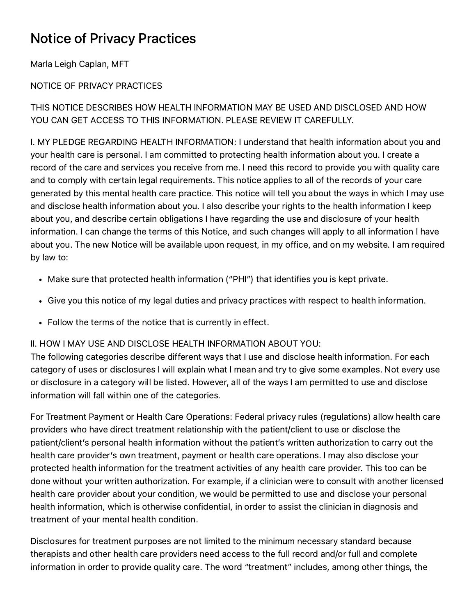## Notice of Privacy Practices

Marla Leigh Caplan, MFT

## NOTICE OF PRIVACY PRACTICES

THIS NOTICE DESCRIBES HOW HEALTH INFORMATION MAY BE USED AND DISCLOSED AND HOW YOU CAN GET ACCESS TO THIS INFORMATION. PLEASE REVIEW IT CAREFULLY.

I. MY PLEDGE REGARDING HEALTH INFORMATION: I understand that health information about you and your health care is personal. I am committed to protecting health information about you. I create a record of the care and services you receive from me. I need this record to provide you with quality care and to comply with certain legal requirements. This notice applies to all of the records of your care generated by this mental health care practice. This notice will tell you about the ways in which I may use and disclose health information about you. I also describe your rights to the health information I keep about you, and describe certain obligations I have regarding the use and disclosure of your health information. I can change the terms of this Notice, and such changes will apply to all information I have about you. The new Notice will be available upon request, in my office, and on my website. I am required by law to:

- Make sure that protected health information ("PHI") that identifies you is kept private.
- Give you this notice of my legal duties and privacy practices with respect to health information.
- Follow the terms of the notice that is currently in effect.

## II. HOW I MAY USE AND DISCLOSE HEALTH INFORMATION ABOUT YOU:

The following categories describe different ways that I use and disclose health information. For each category of uses or disclosures I will explain what I mean and try to give some examples. Not every use or disclosure in a category will be listed. However, all of the ways I am permitted to use and disclose information will fall within one of the categories.

For Treatment Payment or Health Care Operations: Federal privacy rules (regulations) allow health care providers who have direct treatment relationship with the patient/client to use or disclose the patient/client's personal health information without the patient's written authorization to carry out the health care provider's own treatment, payment or health care operations. I may also disclose your protected health information for the treatment activities of any health care provider. This too can be done without your written authorization. For example, if a clinician were to consult with another licensed health care provider about your condition, we would be permitted to use and disclose your personal health information, which is otherwise confidential, in order to assist the clinician in diagnosis and treatment of your mental health condition.

Disclosures for treatment purposes are not limited to the minimum necessary standard because therapists and other health care providers need access to the full record and/or full and complete information in order to provide quality care. The word "treatment" includes, among other things, the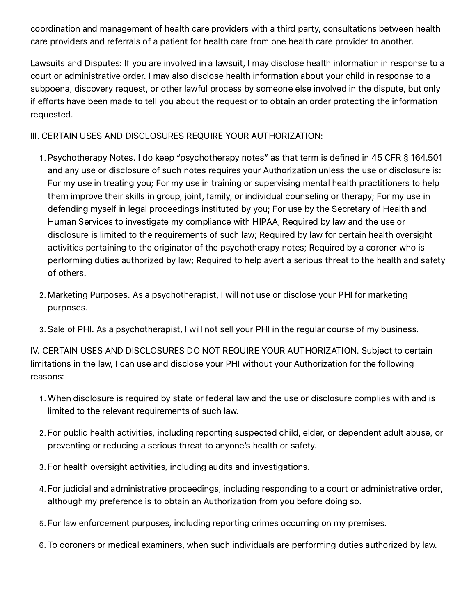coordination and management of health care providers with a third party, consultations between health care providers and referrals of a patient for health care from one health care provider to another.

Lawsuits and Disputes: If you are involved in a lawsuit, I may disclose health information in response to a court or administrative order. I may also disclose health information about your child in response to a subpoena, discovery request, or other lawful process by someone else involved in the dispute, but only if efforts have been made to tell you about the request or to obtain an order protecting the information requested.

III. CERTAIN USES AND DISCLOSURES REQUIRE YOUR AUTHORIZATION:

- . Psychotherapy Notes. I do keep "psychotherapy notes" as that term is defined in 45 CFR § 164.501 and any use or disclosure of such notes requires your Authorization unless the use or disclosure is: For my use in treating you; For my use in training or supervising mental health practitioners to help them improve their skills in group, joint, family, or individual counseling or therapy; For my use in defending myself in legal proceedings instituted by you; For use by the Secretary of Health and Human Services to investigate my compliance with HIPAA; Required by law and the use or disclosure is limited to the requirements of such law; Required by law for certain health oversight activities pertaining to the originator of the psychotherapy notes; Required by a coroner who is performing duties authorized by law; Required to help avert a serious threat to the health and safety of others.
- . Marketing Purposes. As a psychotherapist, I will not use or disclose your PHI for marketing purposes.
- . Sale of PHI. As a psychotherapist, I will not sell your PHI in the regular course of my business.

IV. CERTAIN USES AND DISCLOSURES DO NOT REQUIRE YOUR AUTHORIZATION. Subject to certain limitations in the law, I can use and disclose your PHI without your Authorization for the following reasons:

- . When disclosure is required by state or federal law and the use or disclosure complies with and is limited to the relevant requirements of such law.
- . For public health activities, including reporting suspected child, elder, or dependent adult abuse, or preventing or reducing a serious threat to anyone's health or safety.
- . For health oversight activities, including audits and investigations.
- . For judicial and administrative proceedings, including responding to a court or administrative order, although my preference is to obtain an Authorization from you before doing so.
- . For law enforcement purposes, including reporting crimes occurring on my premises.
- . To coroners or medical examiners, when such individuals are performing duties authorized by law.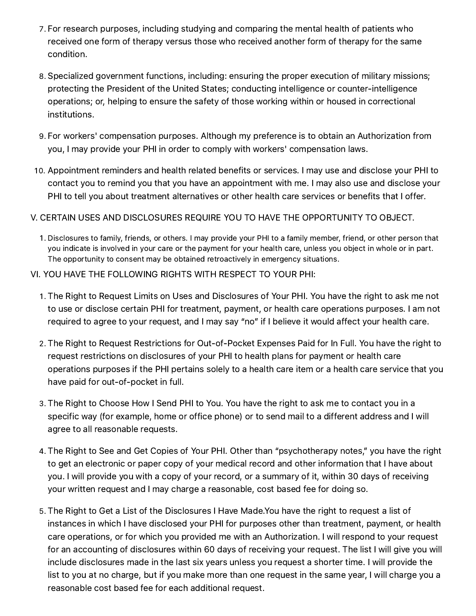- . For research purposes, including studying and comparing the mental health of patients who received one form of therapy versus those who received another form of therapy for the same condition.
- . Specialized government functions, including: ensuring the proper execution of military missions; protecting the President of the United States; conducting intelligence or counter-intelligence operations; or, helping to ensure the safety of those working within or housed in correctional institutions.
- . For workers' compensation purposes. Although my preference is to obtain an Authorization from you, I may provide your PHI in order to comply with workers' compensation laws.
- . Appointment reminders and health related benefits or services. I may use and disclose your PHI to contact you to remind you that you have an appointment with me. I may also use and disclose your PHI to tell you about treatment alternatives or other health care services or benefits that I offer.

## V. CERTAIN USES AND DISCLOSURES REQUIRE YOU TO HAVE THE OPPORTUNITY TO OBJECT.

- . Disclosures to family, friends, or others. I may provide your PHI to a family member, friend, or other person that you indicate is involved in your care or the payment for your health care, unless you object in whole or in part. The opportunity to consent may be obtained retroactively in emergency situations.
- VI. YOU HAVE THE FOLLOWING RIGHTS WITH RESPECT TO YOUR PHI:
	- . The Right to Request Limits on Uses and Disclosures of Your PHI. You have the right to ask me not to use or disclose certain PHI for treatment, payment, or health care operations purposes. I am not required to agree to your request, and I may say "no" if I believe it would affect your health care.
	- . The Right to Request Restrictions for Out-of-Pocket Expenses Paid for In Full. You have the right to request restrictions on disclosures of your PHI to health plans for payment or health care operations purposes if the PHI pertains solely to a health care item or a health care service that you have paid for out-of-pocket in full.
	- . The Right to Choose How I Send PHI to You. You have the right to ask me to contact you in a specific way (for example, home or office phone) or to send mail to a different address and I will agree to all reasonable requests.
	- . The Right to See and Get Copies of Your PHI. Other than "psychotherapy notes," you have the right to get an electronic or paper copy of your medical record and other information that I have about you. I will provide you with a copy of your record, or a summary of it, within 30 days of receiving your written request and I may charge a reasonable, cost based fee for doing so.
	- . The Right to Get a List of the Disclosures I Have Made.You have the right to request a list of instances in which I have disclosed your PHI for purposes other than treatment, payment, or health care operations, or for which you provided me with an Authorization. I will respond to your request for an accounting of disclosures within 60 days of receiving your request. The list I will give you will include disclosures made in the last six years unless you request a shorter time. I will provide the list to you at no charge, but if you make more than one request in the same year, I will charge you a reasonable cost based fee for each additional request.